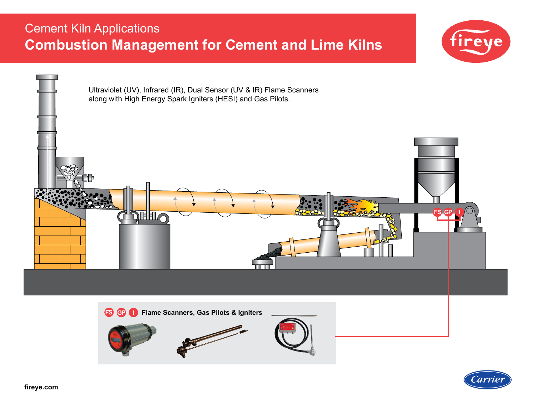# Cement Kiln Applications **Combustion Management for Cement and Lime Kilns**